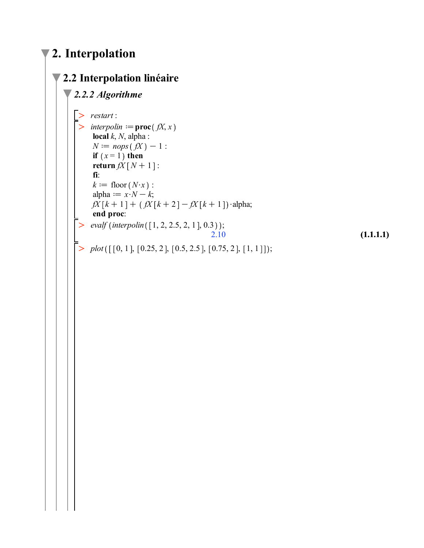## **2. Interpolation**

## **2.2 Interpolation linéaire**

```
\triangleright interpolin := proc(fX, x
 \geq plot([[0, 1], [0.25, 2], [0.5, 2.5], [0.75, 2], [1, 1]]);(1.1.1.1)
 \ge evalf (interpolin([1, 2, 2.5, 2, 1], 0.3));
 > restart:
2.2.2 Algorithme
     local k, N, alpha :
     N := nops(fX) - 1:
     if (x = 1) then
     \text{return } f(X \mid N+1):
      fi:
     k := floor (N \cdot x) :
     alpha := x \cdot N - k;
     fX[k+1] + (fX[k+2] - fX[k+1])·alpha;
     end proc:
                                           2.10
```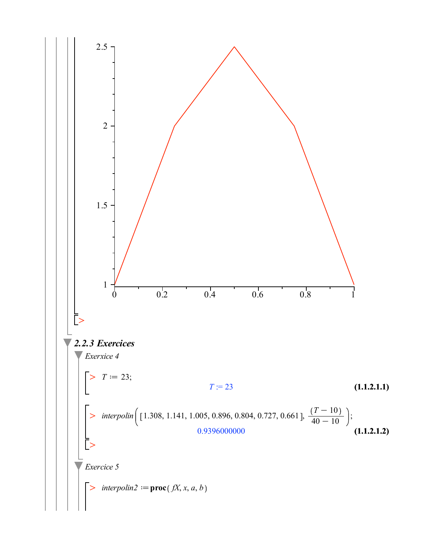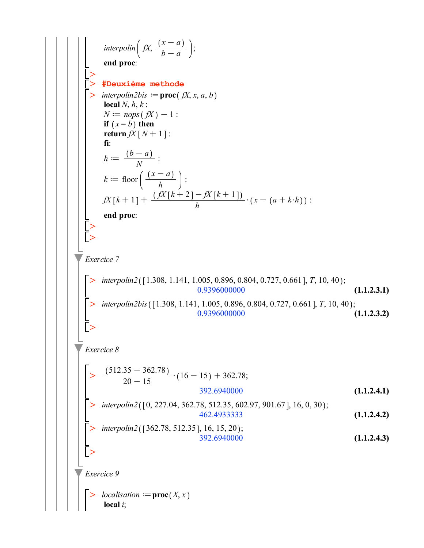**(1.1.2.3.2) (1.1.2.3.1) (1.1.2.4.2)**  $\geq$  $\geq$ **(1.1.2.4.1)**  $\geq$  $>$  interpolin2([362.78, 512.35], 16, 15, 20); > interpolin2( $[0, 227.04, 362.78, 512.35, 602.97, 901.67]$ , 16, 0, 30);  $\geq$  $\geq$  $\geq$  $\geq$  $\geq$  $\geq$  $\geq$ **(1.1.2.4.3)**  $\geq$ *interpolin*  $\left( fX, \frac{(x-a)^{n}}{a}\right)$  $b - a$ :<br>; **end proc**: **#Deuxième methode**  $interpolin2bis := \textbf{proc}(fX, x, a, b)$ **local**  $N, h, k$ :  $N := nops(fX) - 1$ : **if**  $(x = b)$  **then return**  $fX[N+1]$ : **fi**:  $h := \frac{(b-a)}{N}$ :  $k := \text{floor}\left(\frac{(x-a)}{h}\right)$ :  $fX[k+1] + \frac{(fX[k+2]-fX[k+1])}{h} \cdot (x - (a + k \cdot h))$ : **end proc**: *Exercice 7 interpolin2* ([1.308, 1.141, 1.005, 0.896, 0.804, 0.727, 0.661], T, 10, 40); 0.9396000000 *interpolin2bis* ([1.308, 1.141, 1.005, 0.896, 0.804, 0.727, 0.661], *T*, 10, 40); 0.9396000000 *Exercice 8*  $512.35 - 362.78$  $\frac{35}{20-15} \cdot (16-15) + 362.78;$ 392.6940000 462.4933333 392.6940000 *Exercice 9 localisation*  $:=$  **proc** $(X, x)$ **local** *i*;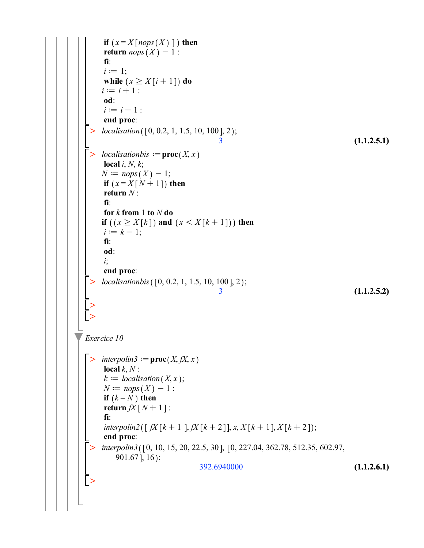```
\geq\geq\geq\geq\geq(1.1.2.5.2)
 \geq(1.1.2.5.1)
                                                                               (1.1.2.6.1)
 \geqinterpolin3 ([0, 10, 15, 20, 22.5, 30], [0, 227.04, 362.78, 512.35, 602.97,
     if (x = X \mid nops(X) \mid) then
     return nops(X) - 1:
     fi:
     i := 1;
     while (x \ge X[i+1]) do
     i := i + 1 :
     od:
     i := i - 1 :
     end proc:
    localisation ([0, 0.2, 1, 1.5, 10, 100], 2);
                                       3
    localisationbis := proc(X, x)local i, N, k;
     N := nops(X) - 1;if (x = X[N+1]) then
     return N :
     fi:
     for k from 1 to N do
     if (x \ge X[k]) and (x \le X[k+1]) then
     i := k - 1;fi:
     od:
     i;
     end proc:
    localisationbis ( [ 0, 0.2, 1, 1.5, 10, 100 ], 2 );3
Exercice 10
   interpolin3 := proc(X, fX, x)local k, N:
     k := localization(X, x);N := nops(X) - 1:
     if (k = N) then
     return fX[N+1]:
     fi:
     interpolin2([ fX[k+1], fX[k+2]], x, X[k+1], X[k+2]);end proc:
        901.67, 16);
                                 392.6940000
```